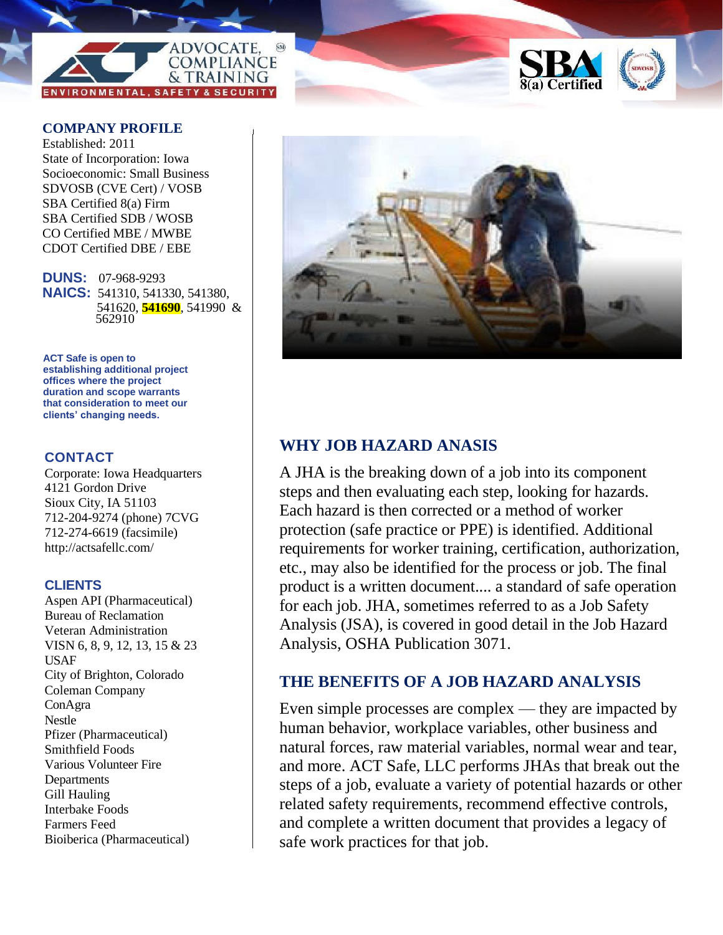



## **COMPANY PROFILE COMPANY PROFILE**

Established: 2011 Established: 2011 State of Incorporation: Iowa State of Incorporation: Iowa Socioeconomic: Small Business Socioeconomic: Small Business SDVOSB (CVE Cert) / VOSB SBA Certified 8(a) Firm SBA Certified 8(a) Firm SBA Certified SDB / WOSB SBA Certified SDB / WOSB CO Certified MBE / MWBE CO Certified MBE / MWBE CDOT Certified DBE / EBE CDOT Certified DBE / EBE

**DUNS:** 07-968-9293 **DUNS:** 07-968-9293 **NAICS:** 541310, 541330, 541380, **NAICS:** 541310, 541330, 541380, 541620, 541690, 541990 & 611430 541620, **541690**, 541990 & 562910

**ACT Safe is open to establishing additional project offices where the project duration and scope warrants that consideration to meet our clients' changing needs.**

## **CONTACT**

Corporate: Iowa Headquarters 4121 Gordon Drive Sioux City, IA 51103 712-204-9274 (phone) 7CVG 712-274-6619 (facsimile) http://actsafellc.com/

### **CLIENTS**

Aspen API (Pharmaceutical) Bureau of Reclamation Veteran Administration VISN 6, 8, 9, 12, 13, 15 & 23 USAF City of Brighton, Colorado Coleman Company ConAgra Nestle Pfizer (Pharmaceutical) Smithfield Foods Various Volunteer Fire Departments Gill Hauling Interbake Foods Farmers Feed Bioiberica (Pharmaceutical)



# **WHY JOB HAZARD ANASIS**

A JHA is the breaking down of a job into its component steps and then evaluating each step, looking for hazards. Each hazard is then corrected or a method of worker protection (safe practice or PPE) is identified. Additional requirements for worker training, certification, authorization, etc., may also be identified for the process or job. The final product is a written document.... a standard of safe operation for each job. JHA, sometimes referred to as a Job Safety Analysis (JSA), is covered in good detail in the Job Hazard Analysis, OSHA Publication 3071.

# **THE BENEFITS OF A JOB HAZARD ANALYSIS**

Even simple processes are complex — they are impacted by human behavior, workplace variables, other business and natural forces, raw material variables, normal wear and tear, and more. ACT Safe, LLC performs JHAs that break out the steps of a job, evaluate a variety of potential hazards or other related safety requirements, recommend effective controls, and complete a written document that provides a legacy of safe work practices for that job.